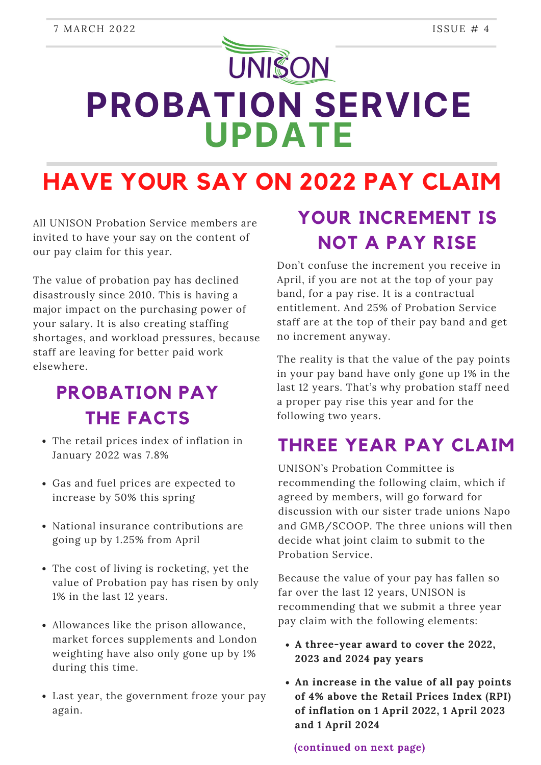# **UNISON PROBATION SERVICE UPDATE**

**HAVE YOUR SAY ON 2022 PAY CLAIM**

All UNISON Probation Service members are invited to have your say on the content of our pay claim for this year.

The value of probation pay has declined disastrously since 2010. This is having a major impact on the purchasing power of your salary. It is also creating staffing shortages, and workload pressures, because staff are leaving for better paid work elsewhere.

#### **PROBATION PAY THE FACTS**

- The retail prices index of inflation in January 2022 was 7.8%
- Gas and fuel prices are expected to increase by 50% this spring
- National insurance contributions are going up by 1.25% from April
- The cost of living is rocketing, yet the value of Probation pay has risen by only 1% in the last 12 years.
- Allowances like the prison allowance, market forces supplements and London weighting have also only gone up by 1% during this time.
- Last year, the government froze your pay again.

### **YOUR INCREMENT IS NOT A PAY RISE**

Don't confuse the increment you receive in April, if you are not at the top of your pay band, for a pay rise. It is a contractual entitlement. And 25% of Probation Service staff are at the top of their pay band and get no increment anyway.

The reality is that the value of the pay points in your pay band have only gone up 1% in the last 12 years. That's why probation staff need a proper pay rise this year and for the following two years.

#### **THREE YEAR PAY CLAIM**

UNISON's Probation Committee is recommending the following claim, which if agreed by members, will go forward for discussion with our sister trade unions Napo and GMB/SCOOP. The three unions will then decide what joint claim to submit to the Probation Service.

Because the value of your pay has fallen so far over the last 12 years, UNISON is recommending that we submit a three year pay claim with the following elements:

- **A three-year award to cover the 2022, 2023 and 2024 pay years**
- **An increase in the value of all pay points of 4% above the Retail Prices Index (RPI) of inflation on 1 April 2022, 1 April 2023 and 1 April 2024**

**(continued on next page)**